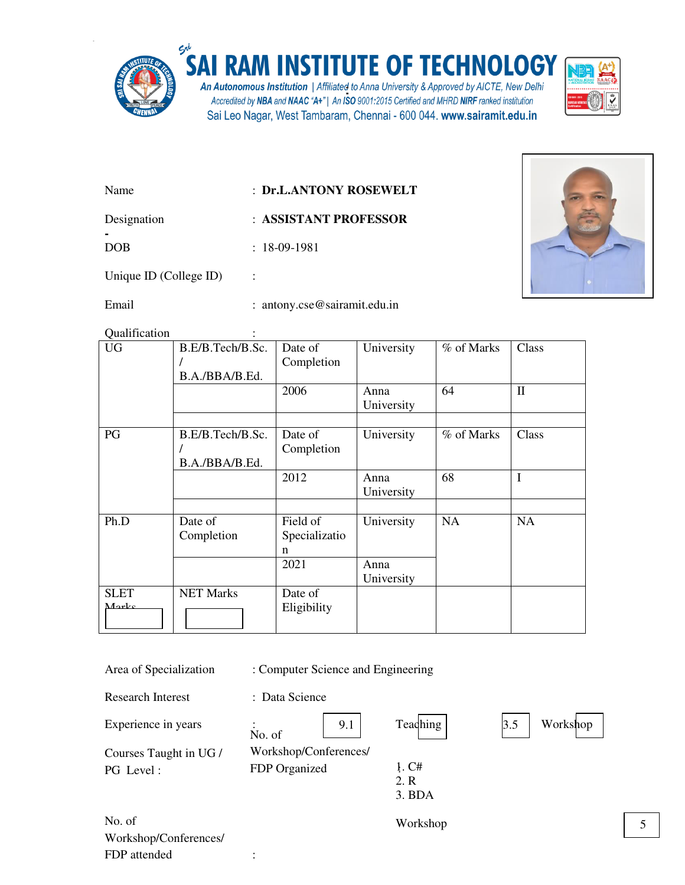

-

## SAI RAM INSTITUTE OF TECHNOLOGY

An Autonomous Institution | Affiliated to Anna University & Approved by AICTE, New Delhi<br>Accredited by NBA and NAAC "A+" | An ISO 9001:2015 Certified and MHRD NIRF ranked institution Sai Leo Nagar, West Tambaram, Chennai - 600 044. www.sairamit.edu.in



| Name                   | : Dr.L.ANTONY ROSEWELT |
|------------------------|------------------------|
| Designation            | : ASSISTANT PROFESSOR  |
| DOB.                   | $: 18-09-1981$         |
| Unique ID (College ID) |                        |



Email : antony.cse@sairamit.edu.in

Qualification :

FDP attended :

| <b>UG</b>            | B.E/B.Tech/B.Sc.<br>B.A./BBA/B.Ed. | Date of<br>Completion          | University         | % of Marks | Class        |
|----------------------|------------------------------------|--------------------------------|--------------------|------------|--------------|
|                      |                                    | 2006                           | Anna<br>University | 64         | $\mathbf{I}$ |
| PG                   | B.E/B.Tech/B.Sc.<br>B.A./BBA/B.Ed. | Date of<br>Completion          | University         | % of Marks | Class        |
|                      |                                    | 2012                           | Anna<br>University | 68         | I            |
| Ph.D                 | Date of<br>Completion              | Field of<br>Specializatio<br>n | University         | <b>NA</b>  | <b>NA</b>    |
|                      |                                    | 2021                           | Anna<br>University |            |              |
| <b>SLET</b><br>Marke | <b>NET Marks</b>                   | Date of<br>Eligibility         |                    |            |              |

| Area of Specialization              | : Computer Science and Engineering     |                         |                 |
|-------------------------------------|----------------------------------------|-------------------------|-----------------|
| <b>Research Interest</b>            | : Data Science                         |                         |                 |
| Experience in years                 | 9.1<br>No. of                          | Teaching                | 3.5<br>Workshop |
| Courses Taught in UG /<br>PG Level: | Workshop/Conferences/<br>FDP Organized | 1. C#<br>2. R<br>3. BDA |                 |
| No. of<br>Workshop/Conferences/     |                                        | Workshop                |                 |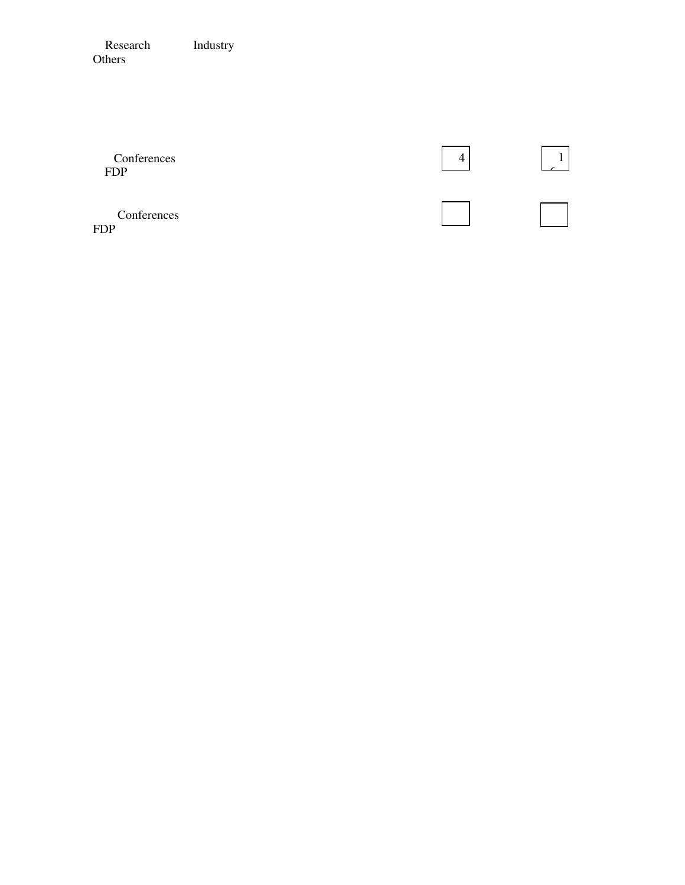Research Industry Others

| Conferences<br><b>FDP</b> |  |
|---------------------------|--|
| Conferences<br><b>FDP</b> |  |